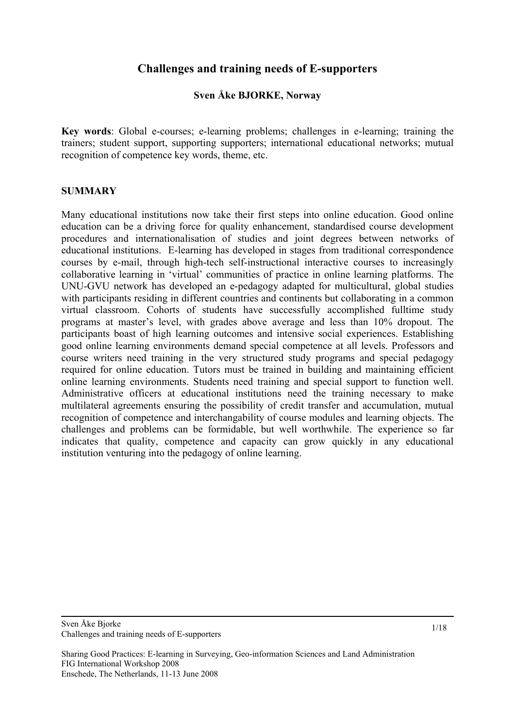# **Challenges and training needs of E-supporters**

## **Sven Åke BJORKE, Norway**

**Key words**: Global e-courses; e-learning problems; challenges in e-learning; training the trainers; student support, supporting supporters; international educational networks; mutual recognition of competence key words, theme, etc.

## **SUMMARY**

Many educational institutions now take their first steps into online education. Good online education can be a driving force for quality enhancement, standardised course development procedures and internationalisation of studies and joint degrees between networks of educational institutions. E-learning has developed in stages from traditional correspondence courses by e-mail, through high-tech self-instructional interactive courses to increasingly collaborative learning in 'virtual' communities of practice in online learning platforms. The UNU-GVU network has developed an e-pedagogy adapted for multicultural, global studies with participants residing in different countries and continents but collaborating in a common virtual classroom. Cohorts of students have successfully accomplished fulltime study programs at master's level, with grades above average and less than 10% dropout. The participants boast of high learning outcomes and intensive social experiences. Establishing good online learning environments demand special competence at all levels. Professors and course writers need training in the very structured study programs and special pedagogy required for online education. Tutors must be trained in building and maintaining efficient online learning environments. Students need training and special support to function well. Administrative officers at educational institutions need the training necessary to make multilateral agreements ensuring the possibility of credit transfer and accumulation, mutual recognition of competence and interchangability of course modules and learning objects. The challenges and problems can be formidable, but well worthwhile. The experience so far indicates that quality, competence and capacity can grow quickly in any educational institution venturing into the pedagogy of online learning.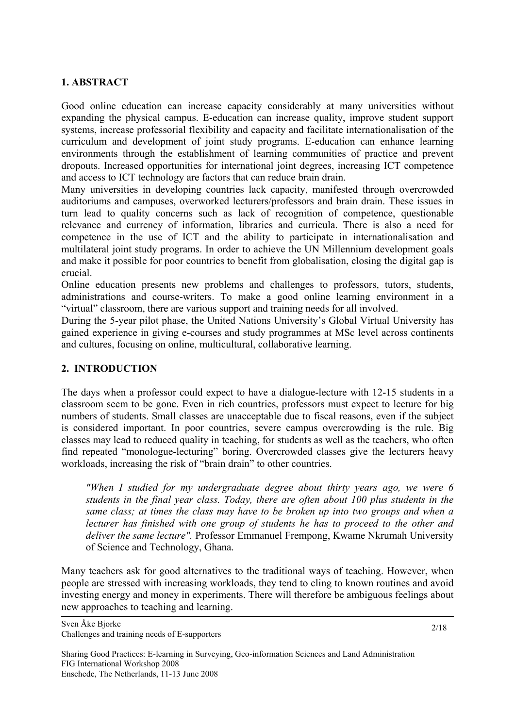#### **1. ABSTRACT**

Good online education can increase capacity considerably at many universities without expanding the physical campus. E-education can increase quality, improve student support systems, increase professorial flexibility and capacity and facilitate internationalisation of the curriculum and development of joint study programs. E-education can enhance learning environments through the establishment of learning communities of practice and prevent dropouts. Increased opportunities for international joint degrees, increasing ICT competence and access to ICT technology are factors that can reduce brain drain.

Many universities in developing countries lack capacity, manifested through overcrowded auditoriums and campuses, overworked lecturers/professors and brain drain. These issues in turn lead to quality concerns such as lack of recognition of competence, questionable relevance and currency of information, libraries and curricula. There is also a need for competence in the use of ICT and the ability to participate in internationalisation and multilateral joint study programs. In order to achieve the UN Millennium development goals and make it possible for poor countries to benefit from globalisation, closing the digital gap is crucial.

Online education presents new problems and challenges to professors, tutors, students, administrations and course-writers. To make a good online learning environment in a "virtual" classroom, there are various support and training needs for all involved.

During the 5-year pilot phase, the United Nations University's Global Virtual University has gained experience in giving e-courses and study programmes at MSc level across continents and cultures, focusing on online, multicultural, collaborative learning.

## **2. INTRODUCTION**

The days when a professor could expect to have a dialogue-lecture with 12-15 students in a classroom seem to be gone. Even in rich countries, professors must expect to lecture for big numbers of students. Small classes are unacceptable due to fiscal reasons, even if the subject is considered important. In poor countries, severe campus overcrowding is the rule. Big classes may lead to reduced quality in teaching, for students as well as the teachers, who often find repeated "monologue-lecturing" boring. Overcrowded classes give the lecturers heavy workloads, increasing the risk of "brain drain" to other countries.

*"When I studied for my undergraduate degree about thirty years ago, we were 6 students in the final year class. Today, there are often about 100 plus students in the same class; at times the class may have to be broken up into two groups and when a lecturer has finished with one group of students he has to proceed to the other and deliver the same lecture".* Professor Emmanuel Frempong, Kwame Nkrumah University of Science and Technology, Ghana.

Many teachers ask for good alternatives to the traditional ways of teaching. However, when people are stressed with increasing workloads, they tend to cling to known routines and avoid investing energy and money in experiments. There will therefore be ambiguous feelings about new approaches to teaching and learning.

Sven Åke Bjorke Challenges and training needs of E-supporters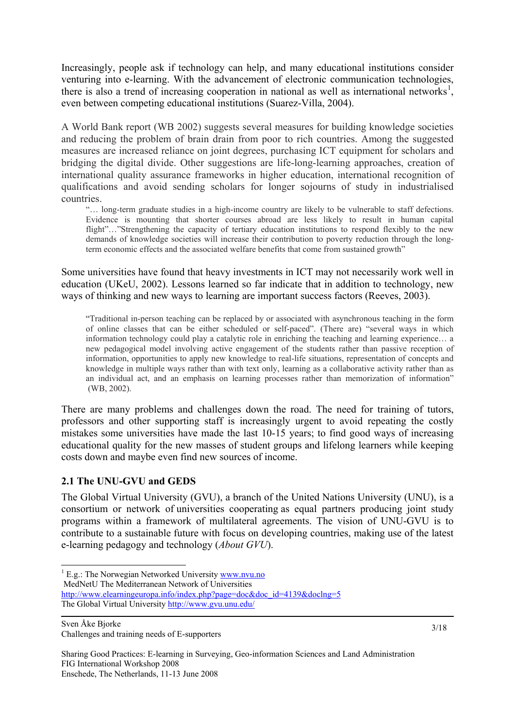Increasingly, people ask if technology can help, and many educational institutions consider venturing into e-learning. With the advancement of electronic communication technologies, there is also a trend of increasing cooperation in national as well as international networks<sup>[1](#page-2-0)</sup>, even between competing educational institutions (Suarez-Villa, 2004).

A World Bank report (WB 2002) suggests several measures for building knowledge societies and reducing the problem of brain drain from poor to rich countries. Among the suggested measures are increased reliance on joint degrees, purchasing ICT equipment for scholars and bridging the digital divide. Other suggestions are life-long-learning approaches, creation of international quality assurance frameworks in higher education, international recognition of qualifications and avoid sending scholars for longer sojourns of study in industrialised countries.

"… long-term graduate studies in a high-income country are likely to be vulnerable to staff defections. Evidence is mounting that shorter courses abroad are less likely to result in human capital flight"..."Strengthening the capacity of tertiary education institutions to respond flexibly to the new demands of knowledge societies will increase their contribution to poverty reduction through the longterm economic effects and the associated welfare benefits that come from sustained growth"

Some universities have found that heavy investments in ICT may not necessarily work well in education (UKeU, 2002). Lessons learned so far indicate that in addition to technology, new ways of thinking and new ways to learning are important success factors (Reeves, 2003).

"Traditional in-person teaching can be replaced by or associated with asynchronous teaching in the form of online classes that can be either scheduled or self-paced". (There are) "several ways in which information technology could play a catalytic role in enriching the teaching and learning experience… a new pedagogical model involving active engagement of the students rather than passive reception of information, opportunities to apply new knowledge to real-life situations, representation of concepts and knowledge in multiple ways rather than with text only, learning as a collaborative activity rather than as an individual act, and an emphasis on learning processes rather than memorization of information" (WB, 2002).

There are many problems and challenges down the road. The need for training of tutors, professors and other supporting staff is increasingly urgent to avoid repeating the costly mistakes some universities have made the last 10-15 years; to find good ways of increasing educational quality for the new masses of student groups and lifelong learners while keeping costs down and maybe even find new sources of income.

# **2.1 The UNU-GVU and GEDS**

The Global Virtual University (GVU), a branch of the United Nations University (UNU), is a consortium or network of universities cooperating as equal partners producing joint study programs within a framework of multilateral agreements. The vision of UNU-GVU is to contribute to a sustainable future with focus on developing countries, making use of the latest e-learning pedagogy and technology (*About GVU*).

MedNetU The Mediterranean Network of Universities

http://www.elearningeuropa.info/index.php?page=doc&doc\_id=4139&doclng=5 The Global Virtual University http://www.gvu.unu.edu/

Sven Åke Bjorke

-

Challenges and training needs of E-supporters

<span id="page-2-0"></span><sup>&</sup>lt;sup>1</sup> E.g.: The Norwegian Networked University **www.nvu.no**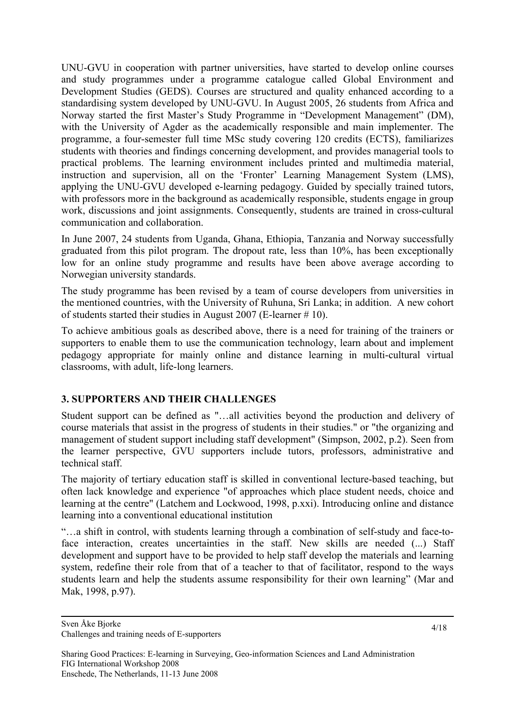UNU-GVU in cooperation with partner universities, have started to develop online courses and study programmes under a programme catalogue called Global Environment and Development Studies (GEDS). Courses are structured and quality enhanced according to a standardising system developed by UNU-GVU. In August 2005, 26 students from Africa and Norway started the first Master's Study Programme in "Development Management" (DM), with the University of Agder as the academically responsible and main implementer. The programme, a four-semester full time MSc study covering 120 credits (ECTS), familiarizes students with theories and findings concerning development, and provides managerial tools to practical problems. The learning environment includes printed and multimedia material, instruction and supervision, all on the 'Fronter' Learning Management System (LMS), applying the UNU-GVU developed e-learning pedagogy. Guided by specially trained tutors, with professors more in the background as academically responsible, students engage in group work, discussions and joint assignments. Consequently, students are trained in cross-cultural communication and collaboration.

In June 2007, 24 students from Uganda, Ghana, Ethiopia, Tanzania and Norway successfully graduated from this pilot program. The dropout rate, less than 10%, has been exceptionally low for an online study programme and results have been above average according to Norwegian university standards.

The study programme has been revised by a team of course developers from universities in the mentioned countries, with the University of Ruhuna, Sri Lanka; in addition. A new cohort of students started their studies in August 2007 (E-learner # 10).

To achieve ambitious goals as described above, there is a need for training of the trainers or supporters to enable them to use the communication technology, learn about and implement pedagogy appropriate for mainly online and distance learning in multi-cultural virtual classrooms, with adult, life-long learners.

# **3. SUPPORTERS AND THEIR CHALLENGES**

Student support can be defined as "…all activities beyond the production and delivery of course materials that assist in the progress of students in their studies." or "the organizing and management of student support including staff development" (Simpson, 2002, p.2). Seen from the learner perspective, GVU supporters include tutors, professors, administrative and technical staff.

The majority of tertiary education staff is skilled in conventional lecture-based teaching, but often lack knowledge and experience "of approaches which place student needs, choice and learning at the centre" (Latchem and Lockwood, 1998, p.xxi). Introducing online and distance learning into a conventional educational institution

"…a shift in control, with students learning through a combination of self-study and face-toface interaction, creates uncertainties in the staff. New skills are needed (...) Staff development and support have to be provided to help staff develop the materials and learning system, redefine their role from that of a teacher to that of facilitator, respond to the ways students learn and help the students assume responsibility for their own learning" (Mar and Mak, 1998, p.97).

Sharing Good Practices: E-learning in Surveying, Geo-information Sciences and Land Administration FIG International Workshop 2008 Enschede, The Netherlands, 11-13 June 2008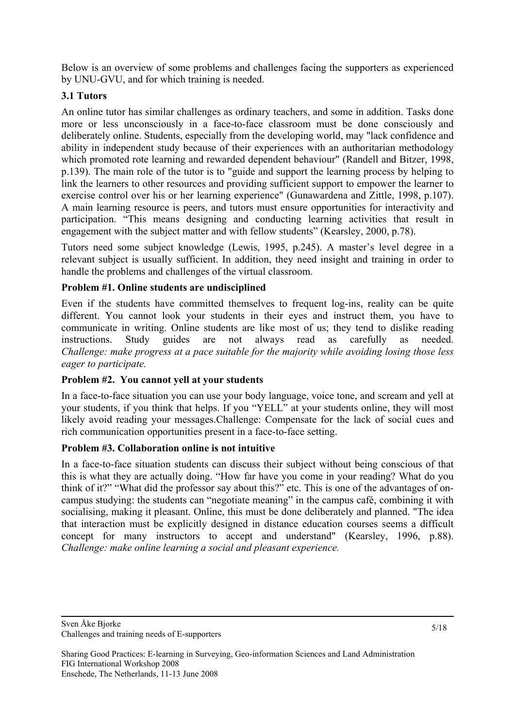Below is an overview of some problems and challenges facing the supporters as experienced by UNU-GVU, and for which training is needed.

# **3.1 Tutors**

An online tutor has similar challenges as ordinary teachers, and some in addition. Tasks done more or less unconsciously in a face-to-face classroom must be done consciously and deliberately online. Students, especially from the developing world, may "lack confidence and ability in independent study because of their experiences with an authoritarian methodology which promoted rote learning and rewarded dependent behaviour" (Randell and Bitzer, 1998, p.139). The main role of the tutor is to "guide and support the learning process by helping to link the learners to other resources and providing sufficient support to empower the learner to exercise control over his or her learning experience" (Gunawardena and Zittle, 1998, p.107). A main learning resource is peers, and tutors must ensure opportunities for interactivity and participation. "This means designing and conducting learning activities that result in engagement with the subject matter and with fellow students" (Kearsley, 2000, p.78).

Tutors need some subject knowledge (Lewis, 1995, p.245). A master's level degree in a relevant subject is usually sufficient. In addition, they need insight and training in order to handle the problems and challenges of the virtual classroom.

# **Problem #1. Online students are undisciplined**

Even if the students have committed themselves to frequent log-ins, reality can be quite different. You cannot look your students in their eyes and instruct them, you have to communicate in writing. Online students are like most of us; they tend to dislike reading instructions. Study guides are not always read as carefully as needed. *Challenge: make progress at a pace suitable for the majority while avoiding losing those less eager to participate.* 

## **Problem #2. You cannot yell at your students**

In a face-to-face situation you can use your body language, voice tone, and scream and yell at your students, if you think that helps. If you "YELL" at your students online, they will most likely avoid reading your messages.Challenge: Compensate for the lack of social cues and rich communication opportunities present in a face-to-face setting.

## **Problem #3. Collaboration online is not intuitive**

In a face-to-face situation students can discuss their subject without being conscious of that this is what they are actually doing. "How far have you come in your reading? What do you think of it?" "What did the professor say about this?" etc. This is one of the advantages of oncampus studying: the students can "negotiate meaning" in the campus café, combining it with socialising, making it pleasant. Online, this must be done deliberately and planned. "The idea that interaction must be explicitly designed in distance education courses seems a difficult concept for many instructors to accept and understand" (Kearsley, 1996, p.88). *Challenge: make online learning a social and pleasant experience.*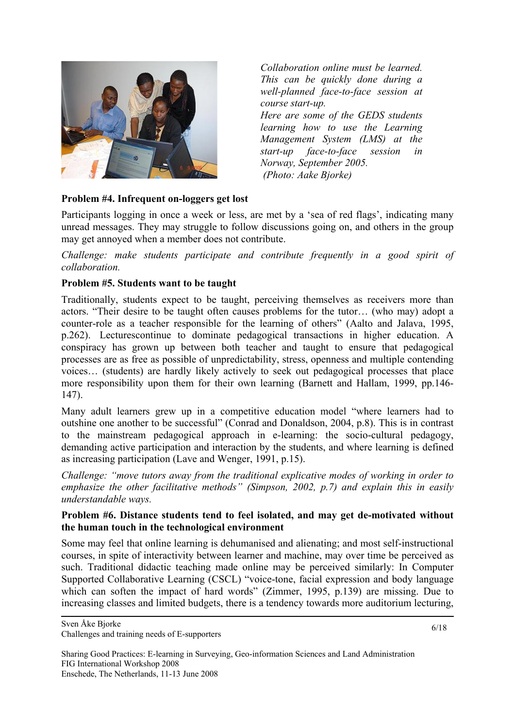

*Collaboration online must be learned. This can be quickly done during a well-planned face-to-face session at course start-up. Here are some of the GEDS students learning how to use the Learning Management System (LMS) at the start-up face-to-face session in Norway, September 2005. (Photo: Aake Bjorke)* 

## **Problem #4. Infrequent on-loggers get lost**

Participants logging in once a week or less, are met by a 'sea of red flags', indicating many unread messages. They may struggle to follow discussions going on, and others in the group may get annoyed when a member does not contribute.

*Challenge: make students participate and contribute frequently in a good spirit of collaboration.* 

#### **Problem #5. Students want to be taught**

Traditionally, students expect to be taught, perceiving themselves as receivers more than actors. "Their desire to be taught often causes problems for the tutor… (who may) adopt a counter-role as a teacher responsible for the learning of others" (Aalto and Jalava, 1995, p.262). Lecturescontinue to dominate pedagogical transactions in higher education. A conspiracy has grown up between both teacher and taught to ensure that pedagogical processes are as free as possible of unpredictability, stress, openness and multiple contending voices… (students) are hardly likely actively to seek out pedagogical processes that place more responsibility upon them for their own learning (Barnett and Hallam, 1999, pp.146- 147).

Many adult learners grew up in a competitive education model "where learners had to outshine one another to be successful" (Conrad and Donaldson, 2004, p.8). This is in contrast to the mainstream pedagogical approach in e-learning: the socio-cultural pedagogy, demanding active participation and interaction by the students, and where learning is defined as increasing participation (Lave and Wenger, 1991, p.15).

*Challenge: "move tutors away from the traditional explicative modes of working in order to emphasize the other facilitative methods" (Simpson, 2002, p.7) and explain this in easily understandable ways.* 

#### **Problem #6. Distance students tend to feel isolated, and may get de-motivated without the human touch in the technological environment**

Some may feel that online learning is dehumanised and alienating; and most self-instructional courses, in spite of interactivity between learner and machine, may over time be perceived as such. Traditional didactic teaching made online may be perceived similarly: In Computer Supported Collaborative Learning (CSCL) "voice-tone, facial expression and body language which can soften the impact of hard words" (Zimmer, 1995, p.139) are missing. Due to increasing classes and limited budgets, there is a tendency towards more auditorium lecturing,

Sven Åke Bjorke Challenges and training needs of E-supporters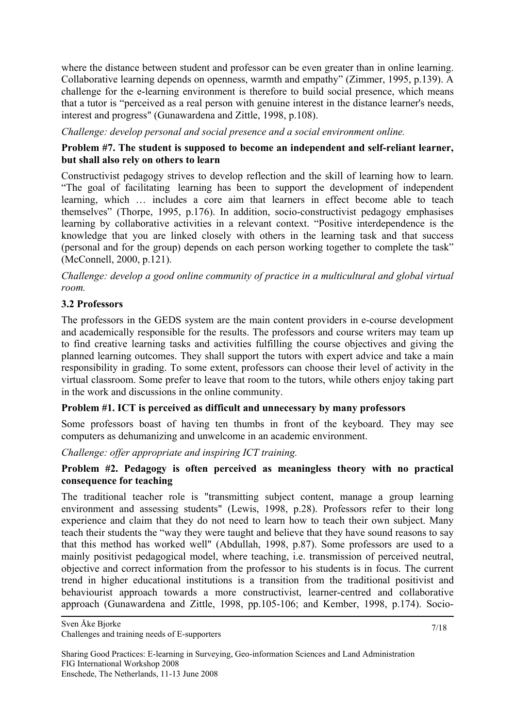where the distance between student and professor can be even greater than in online learning. Collaborative learning depends on openness, warmth and empathy" (Zimmer, 1995, p.139). A challenge for the e-learning environment is therefore to build social presence, which means that a tutor is "perceived as a real person with genuine interest in the distance learner's needs, interest and progress" (Gunawardena and Zittle, 1998, p.108).

*Challenge: develop personal and social presence and a social environment online.* 

## **Problem #7. The student is supposed to become an independent and self-reliant learner, but shall also rely on others to learn**

Constructivist pedagogy strives to develop reflection and the skill of learning how to learn. "The goal of facilitating learning has been to support the development of independent learning, which … includes a core aim that learners in effect become able to teach themselves" (Thorpe, 1995, p.176). In addition, socio-constructivist pedagogy emphasises learning by collaborative activities in a relevant context. "Positive interdependence is the knowledge that you are linked closely with others in the learning task and that success (personal and for the group) depends on each person working together to complete the task" (McConnell, 2000, p.121).

*Challenge: develop a good online community of practice in a multicultural and global virtual room.* 

# **3.2 Professors**

The professors in the GEDS system are the main content providers in e-course development and academically responsible for the results. The professors and course writers may team up to find creative learning tasks and activities fulfilling the course objectives and giving the planned learning outcomes. They shall support the tutors with expert advice and take a main responsibility in grading. To some extent, professors can choose their level of activity in the virtual classroom. Some prefer to leave that room to the tutors, while others enjoy taking part in the work and discussions in the online community.

## **Problem #1. ICT is perceived as difficult and unnecessary by many professors**

Some professors boast of having ten thumbs in front of the keyboard. They may see computers as dehumanizing and unwelcome in an academic environment.

# *Challenge: offer appropriate and inspiring ICT training.*

# **Problem #2. Pedagogy is often perceived as meaningless theory with no practical consequence for teaching**

The traditional teacher role is "transmitting subject content, manage a group learning environment and assessing students" (Lewis, 1998, p.28). Professors refer to their long experience and claim that they do not need to learn how to teach their own subject. Many teach their students the "way they were taught and believe that they have sound reasons to say that this method has worked well" (Abdullah, 1998, p.87). Some professors are used to a mainly positivist pedagogical model, where teaching, i.e. transmission of perceived neutral, objective and correct information from the professor to his students is in focus. The current trend in higher educational institutions is a transition from the traditional positivist and behaviourist approach towards a more constructivist, learner-centred and collaborative approach (Gunawardena and Zittle, 1998, pp.105-106; and Kember, 1998, p.174). Socio-

Sven Åke Bjorke

Challenges and training needs of E-supporters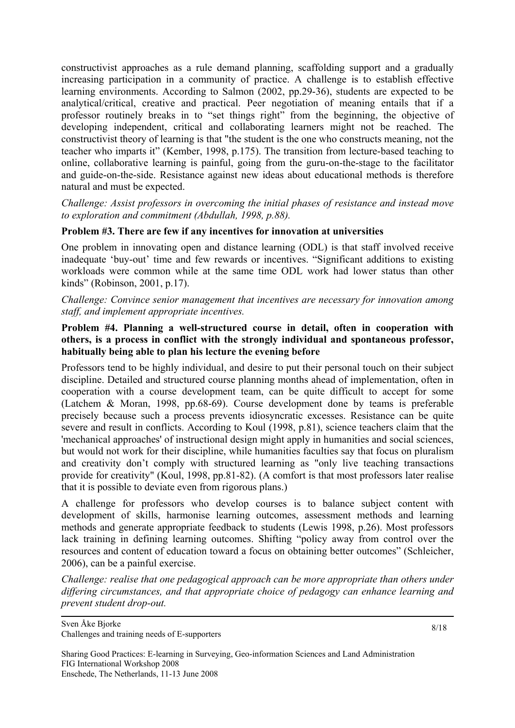constructivist approaches as a rule demand planning, scaffolding support and a gradually increasing participation in a community of practice. A challenge is to establish effective learning environments. According to Salmon (2002, pp.29-36), students are expected to be analytical/critical, creative and practical. Peer negotiation of meaning entails that if a professor routinely breaks in to "set things right" from the beginning, the objective of developing independent, critical and collaborating learners might not be reached. The constructivist theory of learning is that "the student is the one who constructs meaning, not the teacher who imparts it" (Kember, 1998, p.175). The transition from lecture-based teaching to online, collaborative learning is painful, going from the guru-on-the-stage to the facilitator and guide-on-the-side. Resistance against new ideas about educational methods is therefore natural and must be expected.

*Challenge: Assist professors in overcoming the initial phases of resistance and instead move to exploration and commitment (Abdullah, 1998, p.88).* 

#### **Problem #3. There are few if any incentives for innovation at universities**

One problem in innovating open and distance learning (ODL) is that staff involved receive inadequate 'buy-out' time and few rewards or incentives. "Significant additions to existing workloads were common while at the same time ODL work had lower status than other kinds" (Robinson, 2001, p.17).

*Challenge: Convince senior management that incentives are necessary for innovation among staff, and implement appropriate incentives.* 

#### **Problem #4. Planning a well-structured course in detail, often in cooperation with others, is a process in conflict with the strongly individual and spontaneous professor, habitually being able to plan his lecture the evening before**

Professors tend to be highly individual, and desire to put their personal touch on their subject discipline. Detailed and structured course planning months ahead of implementation, often in cooperation with a course development team, can be quite difficult to accept for some (Latchem & Moran, 1998, pp.68-69). Course development done by teams is preferable precisely because such a process prevents idiosyncratic excesses. Resistance can be quite severe and result in conflicts. According to Koul (1998, p.81), science teachers claim that the 'mechanical approaches' of instructional design might apply in humanities and social sciences, but would not work for their discipline, while humanities faculties say that focus on pluralism and creativity don't comply with structured learning as "only live teaching transactions provide for creativity" (Koul, 1998, pp.81-82). (A comfort is that most professors later realise that it is possible to deviate even from rigorous plans.)

A challenge for professors who develop courses is to balance subject content with development of skills, harmonise learning outcomes, assessment methods and learning methods and generate appropriate feedback to students (Lewis 1998, p.26). Most professors lack training in defining learning outcomes. Shifting "policy away from control over the resources and content of education toward a focus on obtaining better outcomes" (Schleicher, 2006), can be a painful exercise.

*Challenge: realise that one pedagogical approach can be more appropriate than others under differing circumstances, and that appropriate choice of pedagogy can enhance learning and prevent student drop-out.* 

Sven Åke Bjorke Challenges and training needs of E-supporters

8/18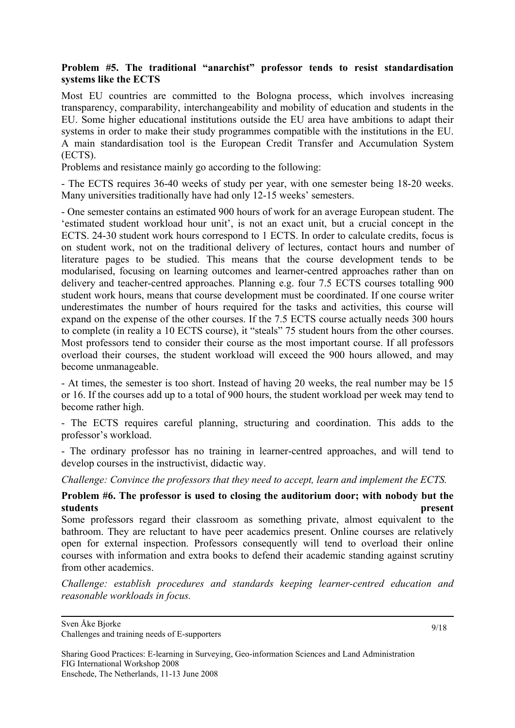## **Problem #5. The traditional "anarchist" professor tends to resist standardisation systems like the ECTS**

Most EU countries are committed to the Bologna process, which involves increasing transparency, comparability, interchangeability and mobility of education and students in the EU. Some higher educational institutions outside the EU area have ambitions to adapt their systems in order to make their study programmes compatible with the institutions in the EU. A main standardisation tool is the European Credit Transfer and Accumulation System (ECTS).

Problems and resistance mainly go according to the following:

- The ECTS requires 36-40 weeks of study per year, with one semester being 18-20 weeks. Many universities traditionally have had only 12-15 weeks' semesters.

- One semester contains an estimated 900 hours of work for an average European student. The 'estimated student workload hour unit', is not an exact unit, but a crucial concept in the ECTS. 24-30 student work hours correspond to 1 ECTS. In order to calculate credits, focus is on student work, not on the traditional delivery of lectures, contact hours and number of literature pages to be studied. This means that the course development tends to be modularised, focusing on learning outcomes and learner-centred approaches rather than on delivery and teacher-centred approaches. Planning e.g. four 7.5 ECTS courses totalling 900 student work hours, means that course development must be coordinated. If one course writer underestimates the number of hours required for the tasks and activities, this course will expand on the expense of the other courses. If the 7.5 ECTS course actually needs 300 hours to complete (in reality a 10 ECTS course), it "steals" 75 student hours from the other courses. Most professors tend to consider their course as the most important course. If all professors overload their courses, the student workload will exceed the 900 hours allowed, and may become unmanageable.

- At times, the semester is too short. Instead of having 20 weeks, the real number may be 15 or 16. If the courses add up to a total of 900 hours, the student workload per week may tend to become rather high.

- The ECTS requires careful planning, structuring and coordination. This adds to the professor's workload.

- The ordinary professor has no training in learner-centred approaches, and will tend to develop courses in the instructivist, didactic way.

*Challenge: Convince the professors that they need to accept, learn and implement the ECTS.* 

## **Problem #6. The professor is used to closing the auditorium door; with nobody but the students present**

Some professors regard their classroom as something private, almost equivalent to the bathroom. They are reluctant to have peer academics present. Online courses are relatively open for external inspection. Professors consequently will tend to overload their online courses with information and extra books to defend their academic standing against scrutiny from other academics.

*Challenge: establish procedures and standards keeping learner-centred education and reasonable workloads in focus.* 

Challenges and training needs of E-supporters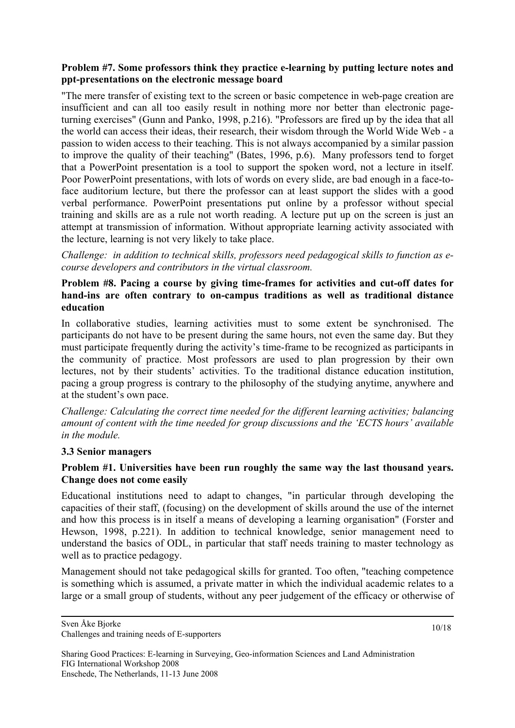## **Problem #7. Some professors think they practice e-learning by putting lecture notes and ppt-presentations on the electronic message board**

"The mere transfer of existing text to the screen or basic competence in web-page creation are insufficient and can all too easily result in nothing more nor better than electronic pageturning exercises" (Gunn and Panko, 1998, p.216). "Professors are fired up by the idea that all the world can access their ideas, their research, their wisdom through the World Wide Web - a passion to widen access to their teaching. This is not always accompanied by a similar passion to improve the quality of their teaching" (Bates, 1996, p.6). Many professors tend to forget that a PowerPoint presentation is a tool to support the spoken word, not a lecture in itself. Poor PowerPoint presentations, with lots of words on every slide, are bad enough in a face-toface auditorium lecture, but there the professor can at least support the slides with a good verbal performance. PowerPoint presentations put online by a professor without special training and skills are as a rule not worth reading. A lecture put up on the screen is just an attempt at transmission of information. Without appropriate learning activity associated with the lecture, learning is not very likely to take place.

*Challenge: in addition to technical skills, professors need pedagogical skills to function as ecourse developers and contributors in the virtual classroom.* 

## **Problem #8. Pacing a course by giving time-frames for activities and cut-off dates for hand-ins are often contrary to on-campus traditions as well as traditional distance education**

In collaborative studies, learning activities must to some extent be synchronised. The participants do not have to be present during the same hours, not even the same day. But they must participate frequently during the activity's time-frame to be recognized as participants in the community of practice. Most professors are used to plan progression by their own lectures, not by their students' activities. To the traditional distance education institution, pacing a group progress is contrary to the philosophy of the studying anytime, anywhere and at the student's own pace.

*Challenge: Calculating the correct time needed for the different learning activities; balancing amount of content with the time needed for group discussions and the 'ECTS hours' available in the module.* 

## **3.3 Senior managers**

## **Problem #1. Universities have been run roughly the same way the last thousand years. Change does not come easily**

Educational institutions need to adapt to changes, "in particular through developing the capacities of their staff, (focusing) on the development of skills around the use of the internet and how this process is in itself a means of developing a learning organisation" (Forster and Hewson, 1998, p.221). In addition to technical knowledge, senior management need to understand the basics of ODL, in particular that staff needs training to master technology as well as to practice pedagogy.

Management should not take pedagogical skills for granted. Too often, "teaching competence is something which is assumed, a private matter in which the individual academic relates to a large or a small group of students, without any peer judgement of the efficacy or otherwise of

Sharing Good Practices: E-learning in Surveying, Geo-information Sciences and Land Administration FIG International Workshop 2008 Enschede, The Netherlands, 11-13 June 2008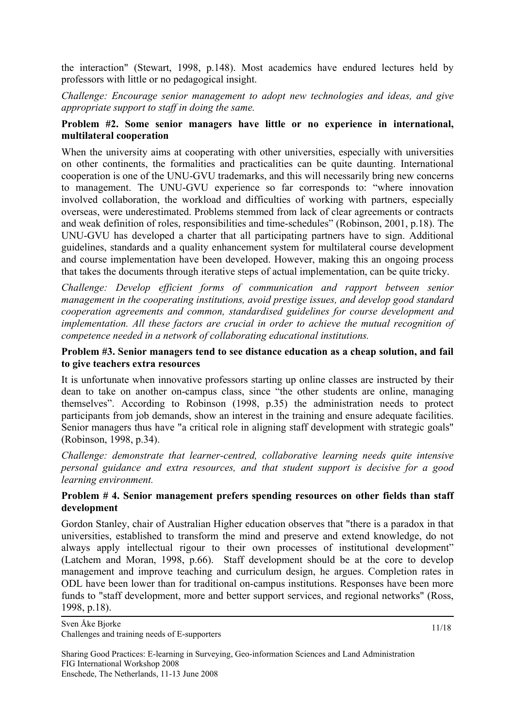the interaction" (Stewart, 1998, p.148). Most academics have endured lectures held by professors with little or no pedagogical insight.

*Challenge: Encourage senior management to adopt new technologies and ideas, and give appropriate support to staff in doing the same.* 

#### **Problem #2. Some senior managers have little or no experience in international, multilateral cooperation**

When the university aims at cooperating with other universities, especially with universities on other continents, the formalities and practicalities can be quite daunting. International cooperation is one of the UNU-GVU trademarks, and this will necessarily bring new concerns to management. The UNU-GVU experience so far corresponds to: "where innovation involved collaboration, the workload and difficulties of working with partners, especially overseas, were underestimated. Problems stemmed from lack of clear agreements or contracts and weak definition of roles, responsibilities and time-schedules" (Robinson, 2001, p.18). The UNU-GVU has developed a charter that all participating partners have to sign. Additional guidelines, standards and a quality enhancement system for multilateral course development and course implementation have been developed. However, making this an ongoing process that takes the documents through iterative steps of actual implementation, can be quite tricky.

*Challenge: Develop efficient forms of communication and rapport between senior management in the cooperating institutions, avoid prestige issues, and develop good standard cooperation agreements and common, standardised guidelines for course development and implementation. All these factors are crucial in order to achieve the mutual recognition of competence needed in a network of collaborating educational institutions.* 

#### **Problem #3. Senior managers tend to see distance education as a cheap solution, and fail to give teachers extra resources**

It is unfortunate when innovative professors starting up online classes are instructed by their dean to take on another on-campus class, since "the other students are online, managing themselves". According to Robinson (1998, p.35) the administration needs to protect participants from job demands, show an interest in the training and ensure adequate facilities. Senior managers thus have "a critical role in aligning staff development with strategic goals" (Robinson, 1998, p.34).

*Challenge: demonstrate that learner-centred, collaborative learning needs quite intensive personal guidance and extra resources, and that student support is decisive for a good learning environment.* 

## **Problem # 4. Senior management prefers spending resources on other fields than staff development**

Gordon Stanley, chair of Australian Higher education observes that "there is a paradox in that universities, established to transform the mind and preserve and extend knowledge, do not always apply intellectual rigour to their own processes of institutional development" (Latchem and Moran, 1998, p.66). Staff development should be at the core to develop management and improve teaching and curriculum design, he argues. Completion rates in ODL have been lower than for traditional on-campus institutions. Responses have been more funds to "staff development, more and better support services, and regional networks" (Ross, 1998, p.18).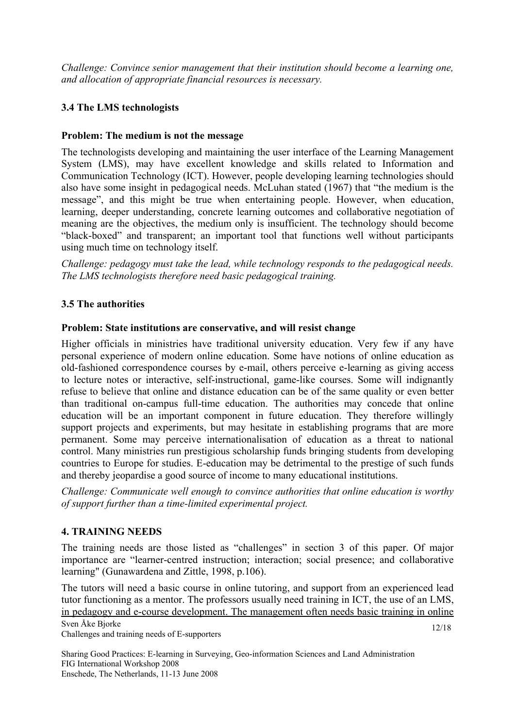*Challenge: Convince senior management that their institution should become a learning one, and allocation of appropriate financial resources is necessary.* 

# **3.4 The LMS technologists**

# **Problem: The medium is not the message**

The technologists developing and maintaining the user interface of the Learning Management System (LMS), may have excellent knowledge and skills related to Information and Communication Technology (ICT). However, people developing learning technologies should also have some insight in pedagogical needs. McLuhan stated (1967) that "the medium is the message", and this might be true when entertaining people. However, when education, learning, deeper understanding, concrete learning outcomes and collaborative negotiation of meaning are the objectives, the medium only is insufficient. The technology should become "black-boxed" and transparent; an important tool that functions well without participants using much time on technology itself.

*Challenge: pedagogy must take the lead, while technology responds to the pedagogical needs. The LMS technologists therefore need basic pedagogical training.* 

## **3.5 The authorities**

## **Problem: State institutions are conservative, and will resist change**

Higher officials in ministries have traditional university education. Very few if any have personal experience of modern online education. Some have notions of online education as old-fashioned correspondence courses by e-mail, others perceive e-learning as giving access to lecture notes or interactive, self-instructional, game-like courses. Some will indignantly refuse to believe that online and distance education can be of the same quality or even better than traditional on-campus full-time education. The authorities may concede that online education will be an important component in future education. They therefore willingly support projects and experiments, but may hesitate in establishing programs that are more permanent. Some may perceive internationalisation of education as a threat to national control. Many ministries run prestigious scholarship funds bringing students from developing countries to Europe for studies. E-education may be detrimental to the prestige of such funds and thereby jeopardise a good source of income to many educational institutions.

*Challenge: Communicate well enough to convince authorities that online education is worthy of support further than a time-limited experimental project.* 

## **4. TRAINING NEEDS**

The training needs are those listed as "challenges" in section 3 of this paper. Of major importance are "learner-centred instruction; interaction; social presence; and collaborative learning" (Gunawardena and Zittle, 1998, p.106).

Sven Åke Bjorke The tutors will need a basic course in online tutoring, and support from an experienced lead tutor functioning as a mentor. The professors usually need training in ICT, the use of an LMS, in pedagogy and e-course development. The management often needs basic training in online

Challenges and training needs of E-supporters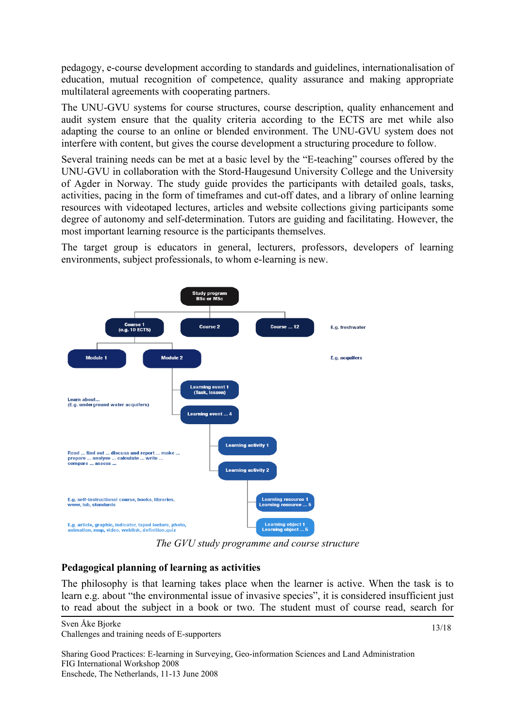pedagogy, e-course development according to standards and guidelines, internationalisation of education, mutual recognition of competence, quality assurance and making appropriate multilateral agreements with cooperating partners.

The UNU-GVU systems for course structures, course description, quality enhancement and audit system ensure that the quality criteria according to the ECTS are met while also adapting the course to an online or blended environment. The UNU-GVU system does not interfere with content, but gives the course development a structuring procedure to follow.

Several training needs can be met at a basic level by the "E-teaching" courses offered by the UNU-GVU in collaboration with the Stord-Haugesund University College and the University of Agder in Norway. The study guide provides the participants with detailed goals, tasks, activities, pacing in the form of timeframes and cut-off dates, and a library of online learning resources with videotaped lectures, articles and website collections giving participants some degree of autonomy and self-determination. Tutors are guiding and facilitating. However, the most important learning resource is the participants themselves.

The target group is educators in general, lecturers, professors, developers of learning environments, subject professionals, to whom e-learning is new.



*The GVU study programme and course structure* 

## **Pedagogical planning of learning as activities**

The philosophy is that learning takes place when the learner is active. When the task is to learn e.g. about "the environmental issue of invasive species", it is considered insufficient just to read about the subject in a book or two. The student must of course read, search for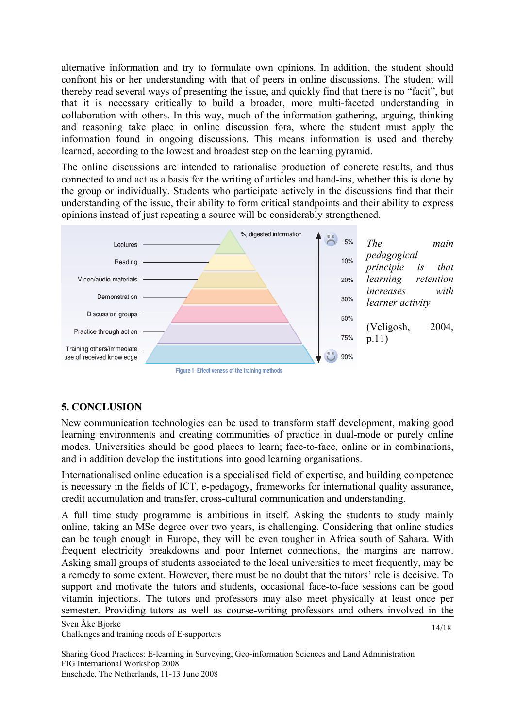alternative information and try to formulate own opinions. In addition, the student should confront his or her understanding with that of peers in online discussions. The student will thereby read several ways of presenting the issue, and quickly find that there is no "facit", but that it is necessary critically to build a broader, more multi-faceted understanding in collaboration with others. In this way, much of the information gathering, arguing, thinking and reasoning take place in online discussion fora, where the student must apply the information found in ongoing discussions. This means information is used and thereby learned, according to the lowest and broadest step on the learning pyramid.

The online discussions are intended to rationalise production of concrete results, and thus connected to and act as a basis for the writing of articles and hand-ins, whether this is done by the group or individually. Students who participate actively in the discussions find that their understanding of the issue, their ability to form critical standpoints and their ability to express opinions instead of just repeating a source will be considerably strengthened.



# **5. CONCLUSION**

New communication technologies can be used to transform staff development, making good learning environments and creating communities of practice in dual-mode or purely online modes. Universities should be good places to learn; face-to-face, online or in combinations, and in addition develop the institutions into good learning organisations.

Internationalised online education is a specialised field of expertise, and building competence is necessary in the fields of ICT, e-pedagogy, frameworks for international quality assurance, credit accumulation and transfer, cross-cultural communication and understanding.

A full time study programme is ambitious in itself. Asking the students to study mainly online, taking an MSc degree over two years, is challenging. Considering that online studies can be tough enough in Europe, they will be even tougher in Africa south of Sahara. With frequent electricity breakdowns and poor Internet connections, the margins are narrow. Asking small groups of students associated to the local universities to meet frequently, may be a remedy to some extent. However, there must be no doubt that the tutors' role is decisive. To support and motivate the tutors and students, occasional face-to-face sessions can be good vitamin injections. The tutors and professors may also meet physically at least once per semester. Providing tutors as well as course-writing professors and others involved in the

Sven Åke Bjorke Challenges and training needs of E-supporters

14/18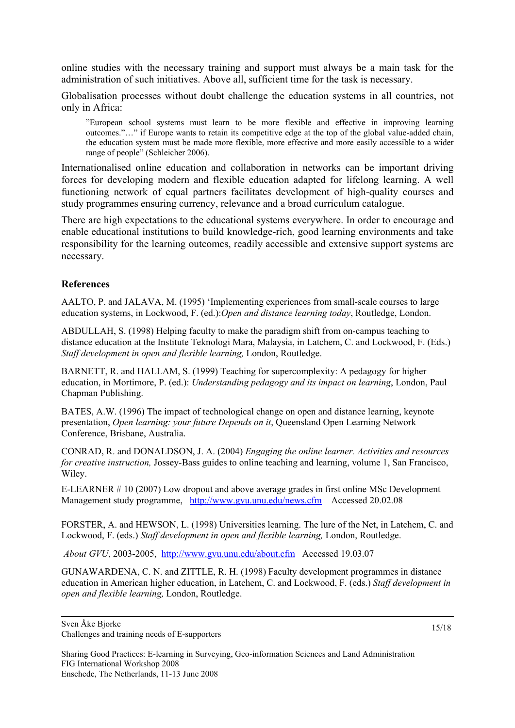online studies with the necessary training and support must always be a main task for the administration of such initiatives. Above all, sufficient time for the task is necessary.

Globalisation processes without doubt challenge the education systems in all countries, not only in Africa:

"European school systems must learn to be more flexible and effective in improving learning outcomes."…" if Europe wants to retain its competitive edge at the top of the global value-added chain, the education system must be made more flexible, more effective and more easily accessible to a wider range of people" (Schleicher 2006).

Internationalised online education and collaboration in networks can be important driving forces for developing modern and flexible education adapted for lifelong learning. A well functioning network of equal partners facilitates development of high-quality courses and study programmes ensuring currency, relevance and a broad curriculum catalogue.

There are high expectations to the educational systems everywhere. In order to encourage and enable educational institutions to build knowledge-rich, good learning environments and take responsibility for the learning outcomes, readily accessible and extensive support systems are necessary.

#### **References**

AALTO, P. and JALAVA, M. (1995) 'Implementing experiences from small-scale courses to large education systems, in Lockwood, F. (ed.):*Open and distance learning today*, Routledge, London.

ABDULLAH, S. (1998) Helping faculty to make the paradigm shift from on-campus teaching to distance education at the Institute Teknologi Mara, Malaysia, in Latchem, C. and Lockwood, F. (Eds.) *Staff development in open and flexible learning,* London, Routledge.

BARNETT, R. and HALLAM, S. (1999) Teaching for supercomplexity: A pedagogy for higher education, in Mortimore, P. (ed.): *Understanding pedagogy and its impact on learning*, London, Paul Chapman Publishing.

BATES, A.W. (1996) The impact of technological change on open and distance learning, keynote presentation, *Open learning: your future Depends on it*, Queensland Open Learning Network Conference, Brisbane, Australia.

CONRAD, R. and DONALDSON, J. A. (2004) *Engaging the online learner. Activities and resources for creative instruction,* Jossey-Bass guides to online teaching and learning, volume 1, San Francisco, Wiley.

E-LEARNER # 10 (2007) Low dropout and above average grades in first online MSc Development Management study programme, <http://www.gvu.unu.edu/news.cfm> Accessed 20.02.08

FORSTER, A. and HEWSON, L. (1998) Universities learning. The lure of the Net, in Latchem, C. and Lockwood, F. (eds.) *Staff development in open and flexible learning,* London, Routledge.

*About GVU*, 2003-2005, <http://www.gvu.unu.edu/about.cfm> Accessed 19.03.07

GUNAWARDENA, C. N. and ZITTLE, R. H. (1998) Faculty development programmes in distance education in American higher education, in Latchem, C. and Lockwood, F. (eds.) *Staff development in open and flexible learning,* London, Routledge.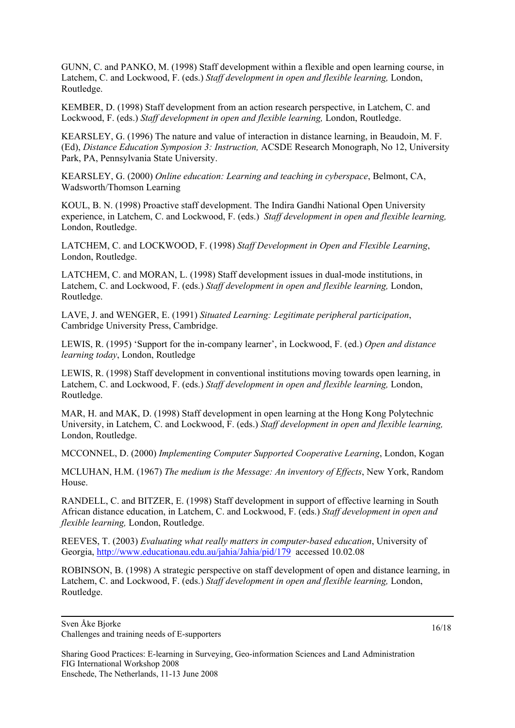GUNN, C. and PANKO, M. (1998) Staff development within a flexible and open learning course, in Latchem, C. and Lockwood, F. (eds.) *Staff development in open and flexible learning,* London, Routledge.

KEMBER, D. (1998) Staff development from an action research perspective, in Latchem, C. and Lockwood, F. (eds.) *Staff development in open and flexible learning,* London, Routledge.

KEARSLEY, G. (1996) The nature and value of interaction in distance learning, in Beaudoin, M. F. (Ed), *Distance Education Symposion 3: Instruction,* ACSDE Research Monograph, No 12, University Park, PA, Pennsylvania State University.

KEARSLEY, G. (2000) *Online education: Learning and teaching in cyberspace*, Belmont, CA, Wadsworth/Thomson Learning

KOUL, B. N. (1998) Proactive staff development. The Indira Gandhi National Open University experience, in Latchem, C. and Lockwood, F. (eds.) *Staff development in open and flexible learning,* London, Routledge.

LATCHEM, C. and LOCKWOOD, F. (1998) *Staff Development in Open and Flexible Learning*, London, Routledge.

LATCHEM, C. and MORAN, L. (1998) Staff development issues in dual-mode institutions, in Latchem, C. and Lockwood, F. (eds.) *Staff development in open and flexible learning,* London, Routledge.

LAVE, J. and WENGER, E. (1991) *Situated Learning: Legitimate peripheral participation*, Cambridge University Press, Cambridge.

LEWIS, R. (1995) 'Support for the in-company learner', in Lockwood, F. (ed.) *Open and distance learning today*, London, Routledge

LEWIS, R. (1998) Staff development in conventional institutions moving towards open learning, in Latchem, C. and Lockwood, F. (eds.) *Staff development in open and flexible learning,* London, Routledge.

MAR, H. and MAK, D. (1998) Staff development in open learning at the Hong Kong Polytechnic University, in Latchem, C. and Lockwood, F. (eds.) *Staff development in open and flexible learning,* London, Routledge.

MCCONNEL, D. (2000) *Implementing Computer Supported Cooperative Learning*, London, Kogan

MCLUHAN, H.M. (1967) *The medium is the Message: An inventory of Effects*, New York, Random House.

RANDELL, C. and BITZER, E. (1998) Staff development in support of effective learning in South African distance education, in Latchem, C. and Lockwood, F. (eds.) *Staff development in open and flexible learning,* London, Routledge.

REEVES, T. (2003) *Evaluating what really matters in computer-based education*, University of Georgia, <http://www.educationau.edu.au/jahia/Jahia/pid/179> accessed 10.02.08

ROBINSON, B. (1998) A strategic perspective on staff development of open and distance learning, in Latchem, C. and Lockwood, F. (eds.) *Staff development in open and flexible learning,* London, Routledge.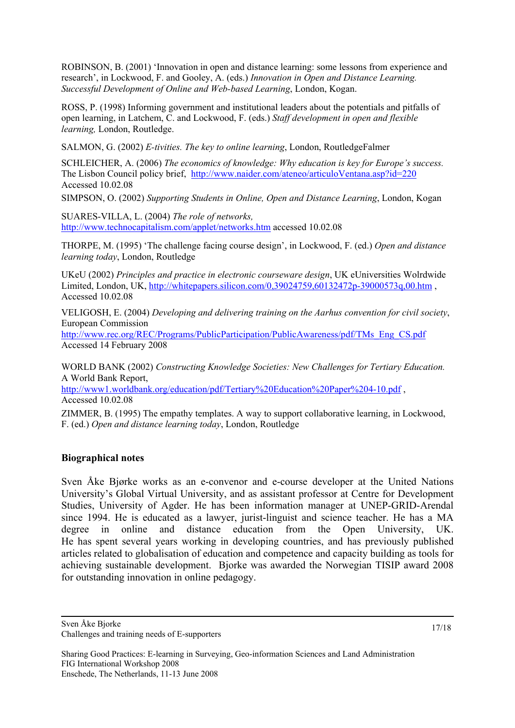ROBINSON, B. (2001) 'Innovation in open and distance learning: some lessons from experience and research', in Lockwood, F. and Gooley, A. (eds.) *Innovation in Open and Distance Learning. Successful Development of Online and Web-based Learning*, London, Kogan.

ROSS, P. (1998) Informing government and institutional leaders about the potentials and pitfalls of open learning, in Latchem, C. and Lockwood, F. (eds.) *Staff development in open and flexible learning,* London, Routledge.

SALMON, G. (2002) *E-tivities. The key to online learning*, London, RoutledgeFalmer

SCHLEICHER, A. (2006) *The economics of knowledge: Why education is key for Europe's success.* The Lisbon Council policy brief, <http://www.naider.com/ateneo/articuloVentana.asp?id=220> Accessed 10.02.08

SIMPSON, O. (2002) *Supporting Students in Online, Open and Distance Learning*, London, Kogan

SUARES-VILLA, L. (2004) *The role of networks,*  <http://www.technocapitalism.com/applet/networks.htm> accessed 10.02.08

THORPE, M. (1995) 'The challenge facing course design', in Lockwood, F. (ed.) *Open and distance learning today*, London, Routledge

UKeU (2002) *Principles and practice in electronic courseware design*, UK eUniversities Wolrdwide Limited, London, UK,<http://whitepapers.silicon.com/0,39024759,60132472p-39000573q,00.htm>, Accessed 10.02.08

VELIGOSH, E. (2004) *Developing and delivering training on the Aarhus convention for civil society*, European Commission

[http://www.rec.org/REC/Programs/PublicParticipation/PublicAwareness/pdf/TMs\\_Eng\\_CS.pdf](http://www.rec.org/REC/Programs/PublicParticipation/PublicAwareness/pdf/TMs_Eng_CS.pdf) Accessed 14 February 2008

WORLD BANK (2002) *Constructing Knowledge Societies: New Challenges for Tertiary Education.* A World Bank Report,

http://www1.worldbank.org/education/pdf/Tertiary%20Education%20Paper%204-10.pdf, Accessed 10.02.08

ZIMMER, B. (1995) The empathy templates. A way to support collaborative learning, in Lockwood, F. (ed.) *Open and distance learning today*, London, Routledge

# **Biographical notes**

Sven Åke Bjørke works as an e-convenor and e-course developer at the United Nations University's Global Virtual University, and as assistant professor at Centre for Development Studies, University of Agder. He has been information manager at UNEP-GRID-Arendal since 1994. He is educated as a lawyer, jurist-linguist and science teacher. He has a MA degree in online and distance education from the Open University, UK. He has spent several years working in developing countries, and has previously published articles related to globalisation of education and competence and capacity building as tools for achieving sustainable development. Bjorke was awarded the Norwegian TISIP award 2008 for outstanding innovation in online pedagogy.